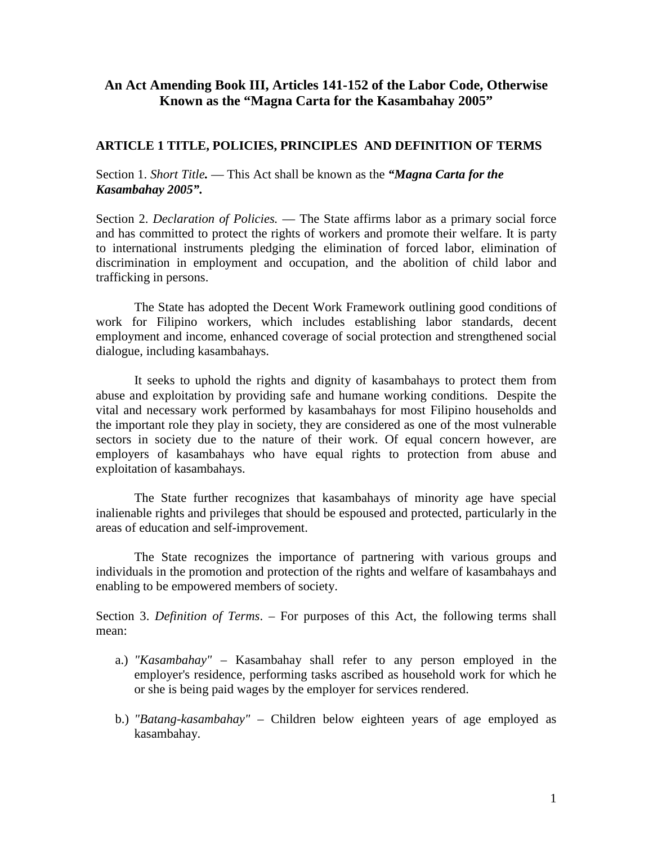## **An Act Amending Book III, Articles 141-152 of the Labor Code, Otherwise Known as the "Magna Carta for the Kasambahay 2005"**

### **ARTICLE 1 TITLE, POLICIES, PRINCIPLES AND DEFINITION OF TERMS**

Section 1. *Short Title.* — This Act shall be known as the *"Magna Carta for the Kasambahay 2005".* 

Section 2. *Declaration of Policies.* — The State affirms labor as a primary social force and has committed to protect the rights of workers and promote their welfare. It is party to international instruments pledging the elimination of forced labor, elimination of discrimination in employment and occupation, and the abolition of child labor and trafficking in persons.

The State has adopted the Decent Work Framework outlining good conditions of work for Filipino workers, which includes establishing labor standards, decent employment and income, enhanced coverage of social protection and strengthened social dialogue, including kasambahays.

It seeks to uphold the rights and dignity of kasambahays to protect them from abuse and exploitation by providing safe and humane working conditions. Despite the vital and necessary work performed by kasambahays for most Filipino households and the important role they play in society, they are considered as one of the most vulnerable sectors in society due to the nature of their work. Of equal concern however, are employers of kasambahays who have equal rights to protection from abuse and exploitation of kasambahays.

The State further recognizes that kasambahays of minority age have special inalienable rights and privileges that should be espoused and protected, particularly in the areas of education and self-improvement.

The State recognizes the importance of partnering with various groups and individuals in the promotion and protection of the rights and welfare of kasambahays and enabling to be empowered members of society.

Section 3. *Definition of Terms*. – For purposes of this Act, the following terms shall mean:

- a.) *"Kasambahay"* Kasambahay shall refer to any person employed in the employer's residence, performing tasks ascribed as household work for which he or she is being paid wages by the employer for services rendered.
- b.) *"Batang-kasambahay"*  Children below eighteen years of age employed as kasambahay.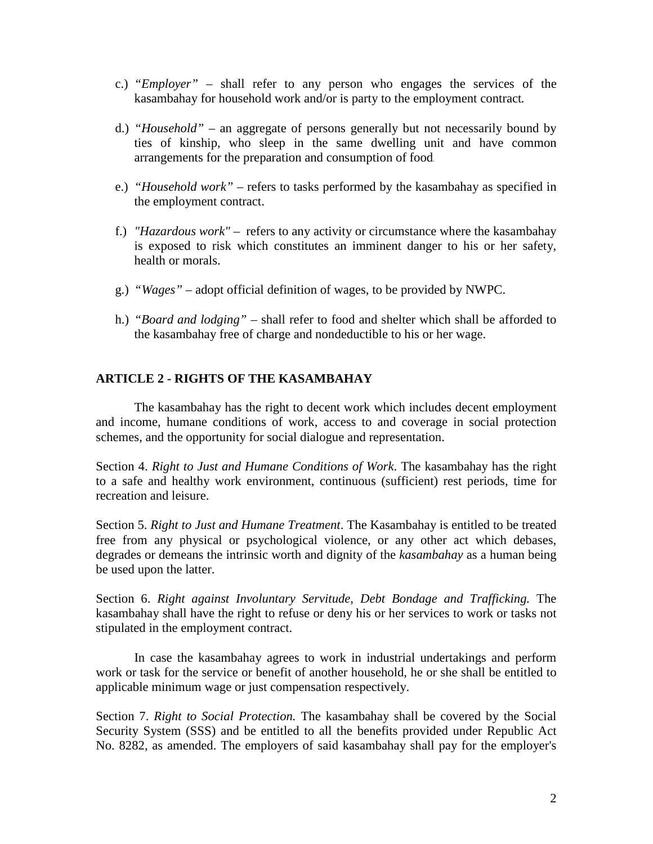- c.) *"Employer"*  shall refer to any person who engages the services of the kasambahay for household work and/or is party to the employment contract*.*
- d.) *"Household"* an aggregate of persons generally but not necessarily bound by ties of kinship, who sleep in the same dwelling unit and have common arrangements for the preparation and consumption of food.
- e.) *"Household work"*  refers to tasks performed by the kasambahay as specified in the employment contract.
- f.) *"Hazardous work"* refers to any activity or circumstance where the kasambahay is exposed to risk which constitutes an imminent danger to his or her safety, health or morals.
- g.) *"Wages"*  adopt official definition of wages, to be provided by NWPC.
- h.) *"Board and lodging"*  shall refer to food and shelter which shall be afforded to the kasambahay free of charge and nondeductible to his or her wage.

### **ARTICLE 2 - RIGHTS OF THE KASAMBAHAY**

The kasambahay has the right to decent work which includes decent employment and income, humane conditions of work, access to and coverage in social protection schemes, and the opportunity for social dialogue and representation.

Section 4. *Right to Just and Humane Conditions of Work*. The kasambahay has the right to a safe and healthy work environment, continuous (sufficient) rest periods, time for recreation and leisure.

Section 5. *Right to Just and Humane Treatment*. The Kasambahay is entitled to be treated free from any physical or psychological violence, or any other act which debases, degrades or demeans the intrinsic worth and dignity of the *kasambahay* as a human being be used upon the latter.

Section 6. *Right against Involuntary Servitude, Debt Bondage and Trafficking.* The kasambahay shall have the right to refuse or deny his or her services to work or tasks not stipulated in the employment contract.

In case the kasambahay agrees to work in industrial undertakings and perform work or task for the service or benefit of another household, he or she shall be entitled to applicable minimum wage or just compensation respectively.

Section 7. *Right to Social Protection.* The kasambahay shall be covered by the Social Security System (SSS) and be entitled to all the benefits provided under Republic Act No. 8282, as amended. The employers of said kasambahay shall pay for the employer's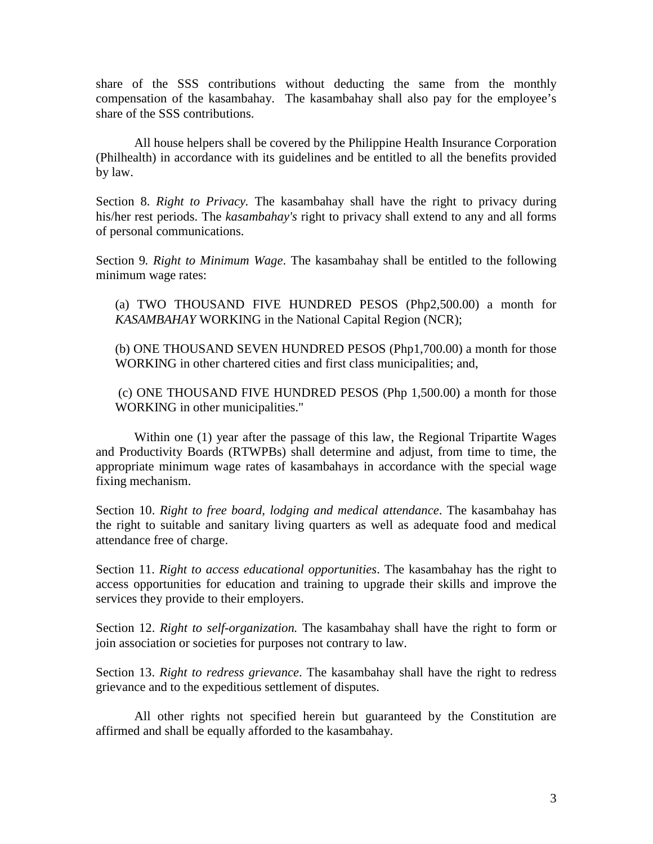share of the SSS contributions without deducting the same from the monthly compensation of the kasambahay. The kasambahay shall also pay for the employee's share of the SSS contributions.

All house helpers shall be covered by the Philippine Health Insurance Corporation (Philhealth) in accordance with its guidelines and be entitled to all the benefits provided by law.

Section 8. *Right to Privacy.* The kasambahay shall have the right to privacy during his/her rest periods. The *kasambahay's* right to privacy shall extend to any and all forms of personal communications.

Section 9*. Right to Minimum Wage*. The kasambahay shall be entitled to the following minimum wage rates:

(a) TWO THOUSAND FIVE HUNDRED PESOS (Php2,500.00) a month for *KASAMBAHAY* WORKING in the National Capital Region (NCR);

(b) ONE THOUSAND SEVEN HUNDRED PESOS (Php1,700.00) a month for those WORKING in other chartered cities and first class municipalities; and,

 (c) ONE THOUSAND FIVE HUNDRED PESOS (Php 1,500.00) a month for those WORKING in other municipalities."

Within one (1) year after the passage of this law, the Regional Tripartite Wages and Productivity Boards (RTWPBs) shall determine and adjust, from time to time, the appropriate minimum wage rates of kasambahays in accordance with the special wage fixing mechanism.

Section 10. *Right to free board, lodging and medical attendance*. The kasambahay has the right to suitable and sanitary living quarters as well as adequate food and medical attendance free of charge.

Section 11. *Right to access educational opportunities*. The kasambahay has the right to access opportunities for education and training to upgrade their skills and improve the services they provide to their employers.

Section 12. *Right to self-organization.* The kasambahay shall have the right to form or join association or societies for purposes not contrary to law.

Section 13. *Right to redress grievance*. The kasambahay shall have the right to redress grievance and to the expeditious settlement of disputes.

All other rights not specified herein but guaranteed by the Constitution are affirmed and shall be equally afforded to the kasambahay.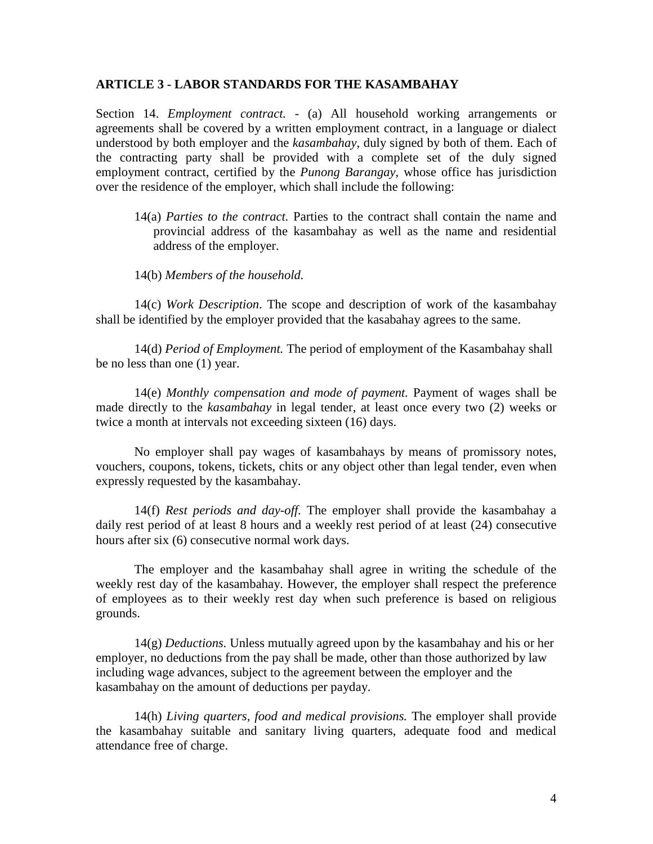#### **ARTICLE 3 - LABOR STANDARDS FOR THE KASAMBAHAY**

Section 14. *Employment contract.* - (a) All household working arrangements or agreements shall be covered by a written employment contract, in a language or dialect understood by both employer and the *kasambahay,* duly signed by both of them. Each of the contracting party shall be provided with a complete set of the duly signed employment contract, certified by the *Punong Barangay*, whose office has jurisdiction over the residence of the employer, which shall include the following:

14(a) *Parties to the contract.* Parties to the contract shall contain the name and provincial address of the kasambahay as well as the name and residential address of the employer.

14(b) *Members of the household.*

14(c) *Work Description*. The scope and description of work of the kasambahay shall be identified by the employer provided that the kasabahay agrees to the same.

 14(d) *Period of Employment.* The period of employment of the Kasambahay shall be no less than one (1) year.

14(e) *Monthly compensation and mode of payment.* Payment of wages shall be made directly to the *kasambahay* in legal tender, at least once every two (2) weeks or twice a month at intervals not exceeding sixteen (16) days.

 No employer shall pay wages of kasambahays by means of promissory notes, vouchers, coupons, tokens, tickets, chits or any object other than legal tender, even when expressly requested by the kasambahay.

14(f) *Rest periods and day-off.* The employer shall provide the kasambahay a daily rest period of at least 8 hours and a weekly rest period of at least (24) consecutive hours after six (6) consecutive normal work days.

The employer and the kasambahay shall agree in writing the schedule of the weekly rest day of the kasambahay. However, the employer shall respect the preference of employees as to their weekly rest day when such preference is based on religious grounds.

14(g) *Deductions.* Unless mutually agreed upon by the kasambahay and his or her employer*,* no deductions from the pay shall be made, other than those authorized by law including wage advances, subject to the agreement between the employer and the kasambahay on the amount of deductions per payday.

14(h) *Living quarters, food and medical provisions.* The employer shall provide the kasambahay suitable and sanitary living quarters, adequate food and medical attendance free of charge.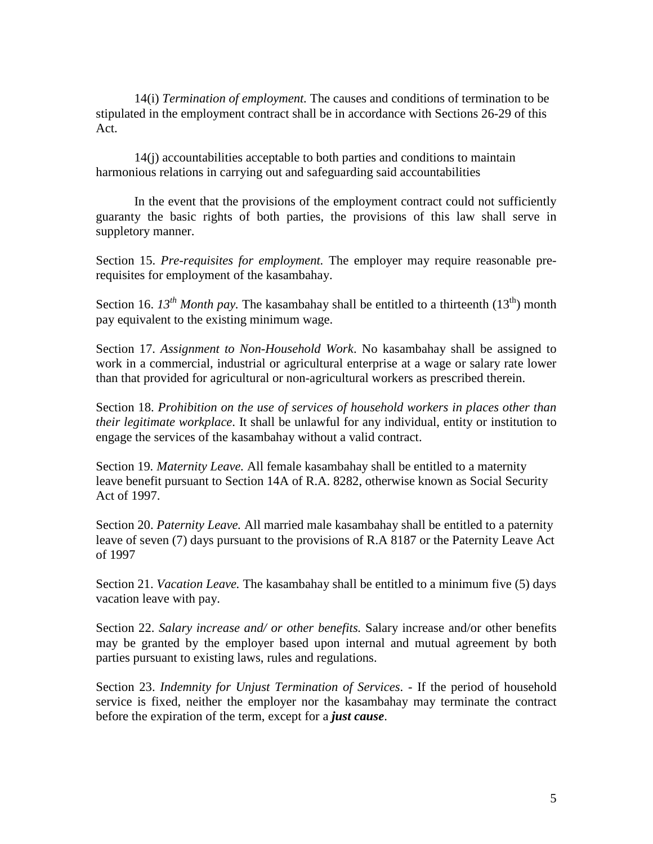14(i) *Termination of employment.* The causes and conditions of termination to be stipulated in the employment contract shall be in accordance with Sections 26-29 of this Act.

14(j) accountabilities acceptable to both parties and conditions to maintain harmonious relations in carrying out and safeguarding said accountabilities

In the event that the provisions of the employment contract could not sufficiently guaranty the basic rights of both parties, the provisions of this law shall serve in suppletory manner.

Section 15. *Pre-requisites for employment.* The employer may require reasonable prerequisites for employment of the kasambahay.

Section 16.  $I3^{th}$  *Month pay*. The kasambahay shall be entitled to a thirteenth  $(13^{th})$  month pay equivalent to the existing minimum wage.

Section 17. *Assignment to Non-Household Work*. No kasambahay shall be assigned to work in a commercial, industrial or agricultural enterprise at a wage or salary rate lower than that provided for agricultural or non-agricultural workers as prescribed therein.

Section 18. *Prohibition on the use of services of household workers in places other than their legitimate workplace*. It shall be unlawful for any individual, entity or institution to engage the services of the kasambahay without a valid contract.

Section 19*. Maternity Leave.* All female kasambahay shall be entitled to a maternity leave benefit pursuant to Section 14A of R.A. 8282, otherwise known as Social Security Act of 1997.

Section 20. *Paternity Leave.* All married male kasambahay shall be entitled to a paternity leave of seven (7) days pursuant to the provisions of R.A 8187 or the Paternity Leave Act of 1997

Section 21. *Vacation Leave.* The kasambahay shall be entitled to a minimum five (5) days vacation leave with pay.

Section 22. *Salary increase and/ or other benefits.* Salary increase and/or other benefits may be granted by the employer based upon internal and mutual agreement by both parties pursuant to existing laws, rules and regulations.

Section 23. *Indemnity for Unjust Termination of Services*. - If the period of household service is fixed, neither the employer nor the kasambahay may terminate the contract before the expiration of the term, except for a *just cause*.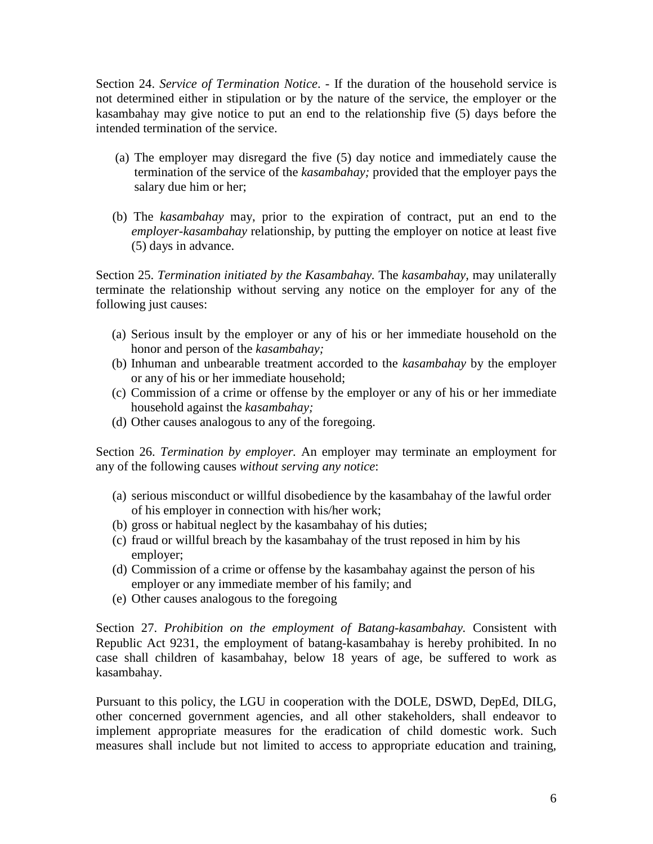Section 24. *Service of Termination Notice*. - If the duration of the household service is not determined either in stipulation or by the nature of the service, the employer or the kasambahay may give notice to put an end to the relationship five (5) days before the intended termination of the service.

- (a) The employer may disregard the five (5) day notice and immediately cause the termination of the service of the *kasambahay;* provided that the employer pays the salary due him or her;
- (b) The *kasambahay* may, prior to the expiration of contract, put an end to the *employer-kasambahay* relationship, by putting the employer on notice at least five (5) days in advance.

Section 25. *Termination initiated by the Kasambahay.* The *kasambahay,* may unilaterally terminate the relationship without serving any notice on the employer for any of the following just causes:

- (a) Serious insult by the employer or any of his or her immediate household on the honor and person of the *kasambahay;*
- (b) Inhuman and unbearable treatment accorded to the *kasambahay* by the employer or any of his or her immediate household;
- (c) Commission of a crime or offense by the employer or any of his or her immediate household against the *kasambahay;*
- (d) Other causes analogous to any of the foregoing.

Section 26. *Termination by employer.* An employer may terminate an employment for any of the following causes *without serving any notice*:

- (a) serious misconduct or willful disobedience by the kasambahay of the lawful order of his employer in connection with his/her work;
- (b) gross or habitual neglect by the kasambahay of his duties;
- (c) fraud or willful breach by the kasambahay of the trust reposed in him by his employer;
- (d) Commission of a crime or offense by the kasambahay against the person of his employer or any immediate member of his family; and
- (e) Other causes analogous to the foregoing

Section 27. *Prohibition on the employment of Batang-kasambahay.* Consistent with Republic Act 9231, the employment of batang-kasambahay is hereby prohibited. In no case shall children of kasambahay, below 18 years of age, be suffered to work as kasambahay.

Pursuant to this policy, the LGU in cooperation with the DOLE, DSWD, DepEd, DILG, other concerned government agencies, and all other stakeholders, shall endeavor to implement appropriate measures for the eradication of child domestic work. Such measures shall include but not limited to access to appropriate education and training,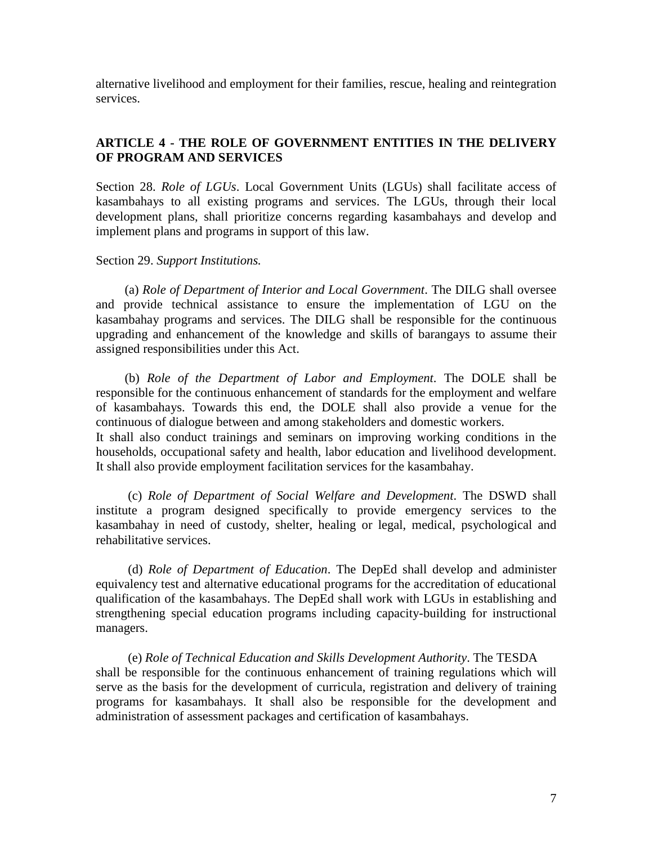alternative livelihood and employment for their families, rescue, healing and reintegration services.

# **ARTICLE 4 - THE ROLE OF GOVERNMENT ENTITIES IN THE DELIVERY OF PROGRAM AND SERVICES**

Section 28. *Role of LGUs*. Local Government Units (LGUs) shall facilitate access of kasambahays to all existing programs and services. The LGUs, through their local development plans, shall prioritize concerns regarding kasambahays and develop and implement plans and programs in support of this law.

Section 29. *Support Institutions.*

 (a) *Role of Department of Interior and Local Government*. The DILG shall oversee and provide technical assistance to ensure the implementation of LGU on the kasambahay programs and services. The DILG shall be responsible for the continuous upgrading and enhancement of the knowledge and skills of barangays to assume their assigned responsibilities under this Act.

 (b) *Role of the Department of Labor and Employment*. The DOLE shall be responsible for the continuous enhancement of standards for the employment and welfare of kasambahays. Towards this end, the DOLE shall also provide a venue for the continuous of dialogue between and among stakeholders and domestic workers. It shall also conduct trainings and seminars on improving working conditions in the households, occupational safety and health, labor education and livelihood development. It shall also provide employment facilitation services for the kasambahay.

 (c) *Role of Department of Social Welfare and Development*. The DSWD shall institute a program designed specifically to provide emergency services to the kasambahay in need of custody, shelter, healing or legal, medical, psychological and rehabilitative services.

 (d) *Role of Department of Education*. The DepEd shall develop and administer equivalency test and alternative educational programs for the accreditation of educational qualification of the kasambahays. The DepEd shall work with LGUs in establishing and strengthening special education programs including capacity-building for instructional managers.

 (e) *Role of Technical Education and Skills Development Authority*. The TESDA shall be responsible for the continuous enhancement of training regulations which will serve as the basis for the development of curricula, registration and delivery of training programs for kasambahays. It shall also be responsible for the development and administration of assessment packages and certification of kasambahays.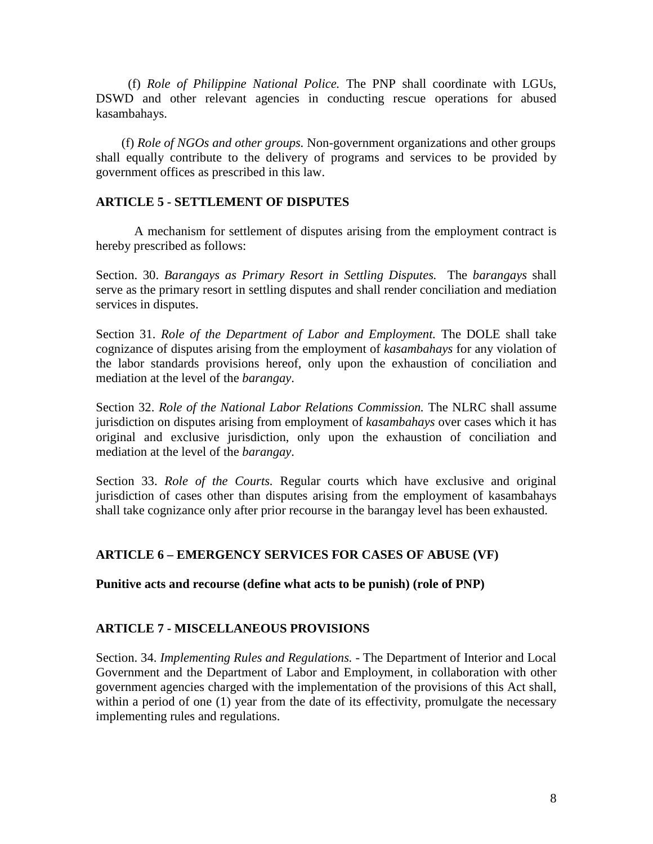(f) *Role of Philippine National Police.* The PNP shall coordinate with LGUs, DSWD and other relevant agencies in conducting rescue operations for abused kasambahays.

 (f) *Role of NGOs and other groups.* Non-government organizations and other groups shall equally contribute to the delivery of programs and services to be provided by government offices as prescribed in this law.

### **ARTICLE 5 - SETTLEMENT OF DISPUTES**

A mechanism for settlement of disputes arising from the employment contract is hereby prescribed as follows:

Section. 30. *Barangays as Primary Resort in Settling Disputes.* The *barangays* shall serve as the primary resort in settling disputes and shall render conciliation and mediation services in disputes.

Section 31. *Role of the Department of Labor and Employment.* The DOLE shall take cognizance of disputes arising from the employment of *kasambahays* for any violation of the labor standards provisions hereof, only upon the exhaustion of conciliation and mediation at the level of the *barangay*.

Section 32. *Role of the National Labor Relations Commission.* The NLRC shall assume jurisdiction on disputes arising from employment of *kasambahays* over cases which it has original and exclusive jurisdiction, only upon the exhaustion of conciliation and mediation at the level of the *barangay*.

Section 33. *Role of the Courts.* Regular courts which have exclusive and original jurisdiction of cases other than disputes arising from the employment of kasambahays shall take cognizance only after prior recourse in the barangay level has been exhausted.

### **ARTICLE 6 – EMERGENCY SERVICES FOR CASES OF ABUSE (VF)**

**Punitive acts and recourse (define what acts to be punish) (role of PNP)** 

### **ARTICLE 7 - MISCELLANEOUS PROVISIONS**

Section. 34. *Implementing Rules and Regulations.* - The Department of Interior and Local Government and the Department of Labor and Employment, in collaboration with other government agencies charged with the implementation of the provisions of this Act shall, within a period of one (1) year from the date of its effectivity, promulgate the necessary implementing rules and regulations.